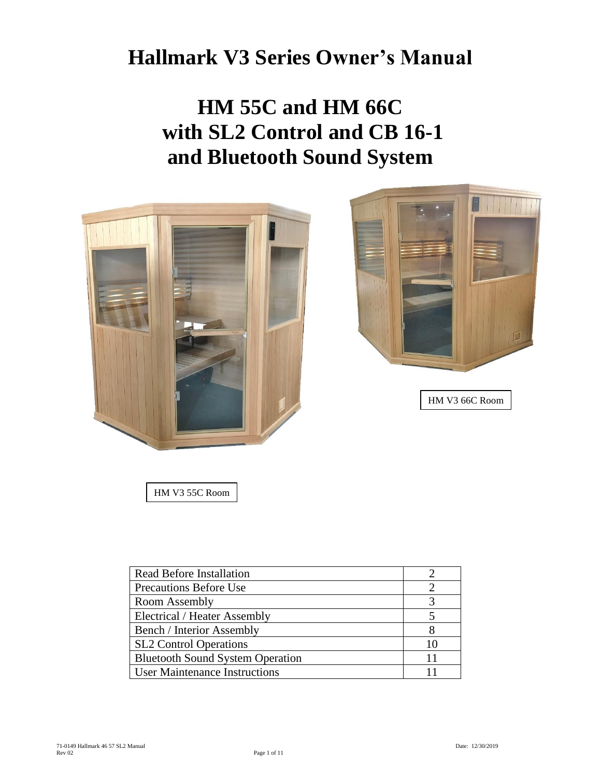# **Hallmark V3 Series Owner's Manual**

**HM 55C and HM 66C with SL2 Control and CB 16-1 and Bluetooth Sound System**



HM V3 55C Room

| <b>Read Before Installation</b>         |    |
|-----------------------------------------|----|
| <b>Precautions Before Use</b>           |    |
| Room Assembly                           |    |
| Electrical / Heater Assembly            |    |
| <b>Bench / Interior Assembly</b>        |    |
| <b>SL2</b> Control Operations           | 10 |
| <b>Bluetooth Sound System Operation</b> |    |
| <b>User Maintenance Instructions</b>    |    |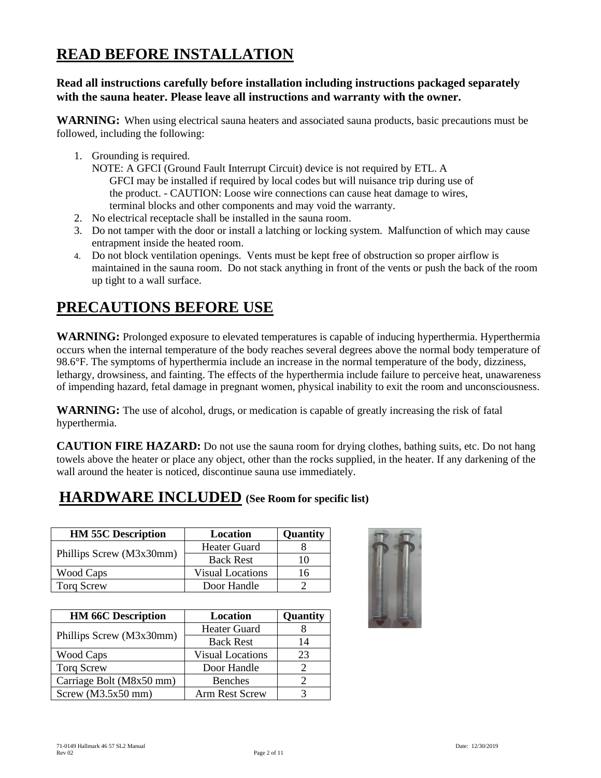### **READ BEFORE INSTALLATION**

#### **Read all instructions carefully before installation including instructions packaged separately with the sauna heater. Please leave all instructions and warranty with the owner.**

**WARNING:** When using electrical sauna heaters and associated sauna products, basic precautions must be followed, including the following:

1. Grounding is required.

NOTE: A GFCI (Ground Fault Interrupt Circuit) device is not required by ETL. A GFCI may be installed if required by local codes but will nuisance trip during use of the product. - CAUTION: Loose wire connections can cause heat damage to wires, terminal blocks and other components and may void the warranty.

- 2. No electrical receptacle shall be installed in the sauna room.
- 3. Do not tamper with the door or install a latching or locking system. Malfunction of which may cause entrapment inside the heated room.
- 4. Do not block ventilation openings. Vents must be kept free of obstruction so proper airflow is maintained in the sauna room. Do not stack anything in front of the vents or push the back of the room up tight to a wall surface.

## **PRECAUTIONS BEFORE USE**

WARNING: Prolonged exposure to elevated temperatures is capable of inducing hyperthermia. Hyperthermia occurs when the internal temperature of the body reaches several degrees above the normal body temperature of 98.6°F. The symptoms of hyperthermia include an increase in the normal temperature of the body, dizziness, lethargy, drowsiness, and fainting. The effects of the hyperthermia include failure to perceive heat, unawareness of impending hazard, fetal damage in pregnant women, physical inability to exit the room and unconsciousness.

**WARNING:** The use of alcohol, drugs, or medication is capable of greatly increasing the risk of fatal hyperthermia.

**CAUTION FIRE HAZARD:** Do not use the sauna room for drying clothes, bathing suits, etc. Do not hang towels above the heater or place any object, other than the rocks supplied, in the heater. If any darkening of the wall around the heater is noticed, discontinue sauna use immediately.

### **HARDWARE INCLUDED (See Room for specific list)**

| <b>HM 55C Description</b> | Location                | <b>Quantity</b> |
|---------------------------|-------------------------|-----------------|
|                           | <b>Heater Guard</b>     |                 |
| Phillips Screw (M3x30mm)  | <b>Back Rest</b>        | 10              |
| Wood Caps                 | <b>Visual Locations</b> | 16              |
| <b>Torq Screw</b>         | Door Handle             |                 |

| <b>HM 66C Description</b> | Location                | Quantity |
|---------------------------|-------------------------|----------|
| Phillips Screw (M3x30mm)  | <b>Heater Guard</b>     |          |
|                           | <b>Back Rest</b>        | 14       |
| Wood Caps                 | <b>Visual Locations</b> | 23       |
| <b>Torq Screw</b>         | Door Handle             |          |
| Carriage Bolt (M8x50 mm)  | <b>Benches</b>          |          |
| Screw $(M3.5x50$ mm)      | Arm Rest Screw          |          |

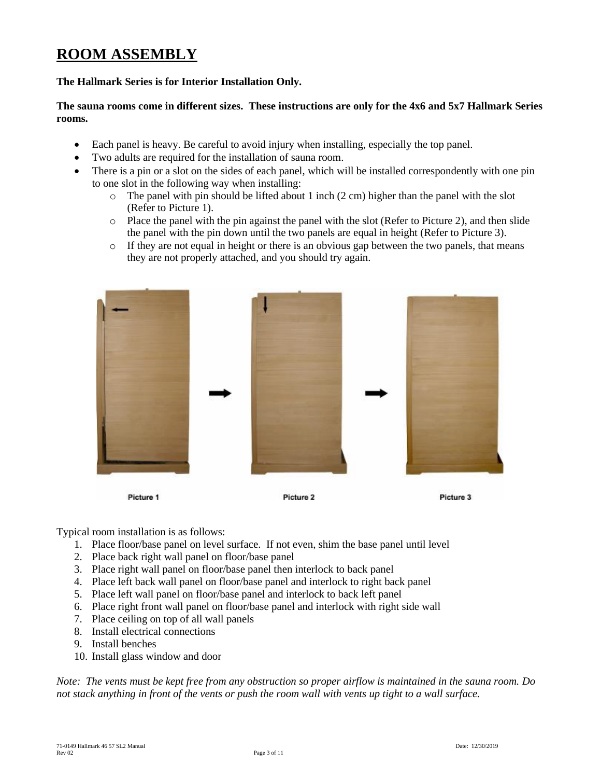### **ROOM ASSEMBLY**

#### **The Hallmark Series is for Interior Installation Only.**

#### **The sauna rooms come in different sizes. These instructions are only for the 4x6 and 5x7 Hallmark Series rooms.**

- Each panel is heavy. Be careful to avoid injury when installing, especially the top panel.
- Two adults are required for the installation of sauna room.
- There is a pin or a slot on the sides of each panel, which will be installed correspondently with one pin to one slot in the following way when installing:
	- o The panel with pin should be lifted about 1 inch (2 cm) higher than the panel with the slot (Refer to Picture 1).
	- $\circ$  Place the panel with the pin against the panel with the slot (Refer to Picture 2), and then slide the panel with the pin down until the two panels are equal in height (Refer to Picture 3).
	- o If they are not equal in height or there is an obvious gap between the two panels, that means they are not properly attached, and you should try again.



Typical room installation is as follows:

- 1. Place floor/base panel on level surface. If not even, shim the base panel until level
- 2. Place back right wall panel on floor/base panel
- 3. Place right wall panel on floor/base panel then interlock to back panel
- 4. Place left back wall panel on floor/base panel and interlock to right back panel
- 5. Place left wall panel on floor/base panel and interlock to back left panel
- 6. Place right front wall panel on floor/base panel and interlock with right side wall
- 7. Place ceiling on top of all wall panels
- 8. Install electrical connections
- 9. Install benches
- 10. Install glass window and door

*Note: The vents must be kept free from any obstruction so proper airflow is maintained in the sauna room. Do not stack anything in front of the vents or push the room wall with vents up tight to a wall surface.*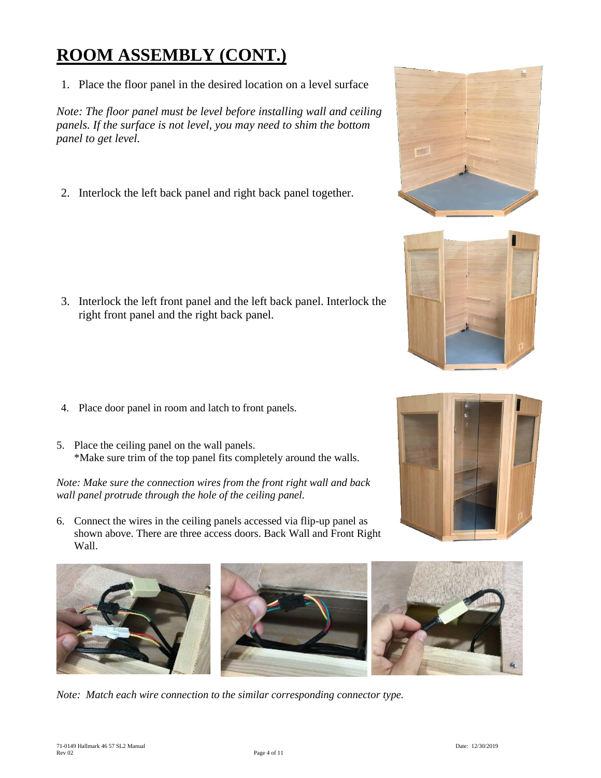# **ROOM ASSEMBLY (CONT.)**

1. Place the floor panel in the desired location on a level surface

*Note: The floor panel must be level before installing wall and ceiling panels. If the surface is not level, you may need to shim the bottom panel to get level.*

2. Interlock the left back panel and right back panel together.

- 3. Interlock the left front panel and the left back panel. Interlock the right front panel and the right back panel.
- 4. Place door panel in room and latch to front panels.
- 5. Place the ceiling panel on the wall panels. \*Make sure trim of the top panel fits completely around the walls.

*Note: Make sure the connection wires from the front right wall and back wall panel protrude through the hole of the ceiling panel.*

6. Connect the wires in the ceiling panels accessed via flip-up panel as shown above. There are three access doors. Back Wall and Front Right Wall.





*Note: Match each wire connection to the similar corresponding connector type.*







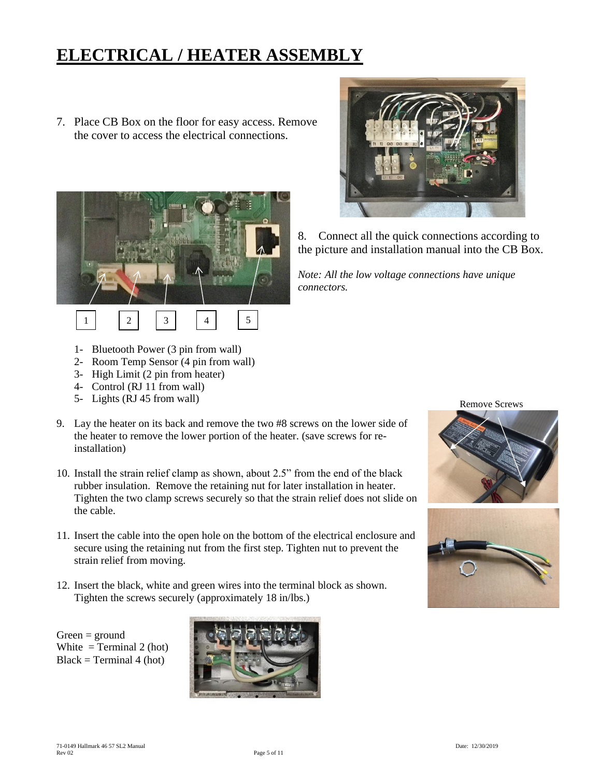## **ELECTRICAL / HEATER ASSEMBLY**

7. Place CB Box on the floor for easy access. Remove the cover to access the electrical connections.





8. Connect all the quick connections according to the picture and installation manual into the CB Box.

*Note: All the low voltage connections have unique connectors.*

- 1- Bluetooth Power (3 pin from wall)
- 2- Room Temp Sensor (4 pin from wall)
- 3- High Limit (2 pin from heater)
- 4- Control (RJ 11 from wall)
- 5- Lights (RJ 45 from wall)
- 9. Lay the heater on its back and remove the two #8 screws on the lower side of the heater to remove the lower portion of the heater. (save screws for reinstallation)
- 10. Install the strain relief clamp as shown, about 2.5" from the end of the black rubber insulation. Remove the retaining nut for later installation in heater. Tighten the two clamp screws securely so that the strain relief does not slide on the cable.
- 11. Insert the cable into the open hole on the bottom of the electrical enclosure and secure using the retaining nut from the first step. Tighten nut to prevent the strain relief from moving.
- 12. Insert the black, white and green wires into the terminal block as shown. Tighten the screws securely (approximately 18 in/lbs.)

 $Green = ground$ White  $=$  Terminal 2 (hot)  $Black = Terminal 4 (hot)$ 



Remove Screws



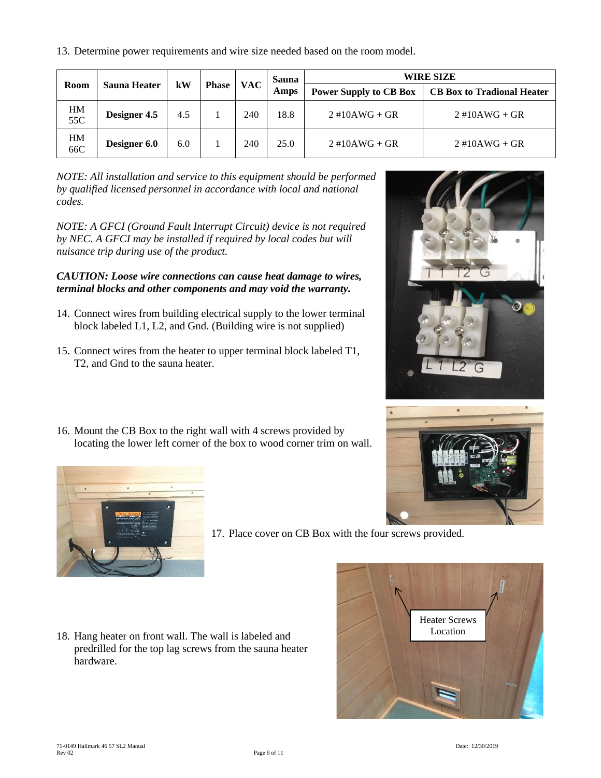13. Determine power requirements and wire size needed based on the room model.

| Room      | $\mathbf{k}$ W<br><b>Sauna Heater</b> |     |              | Sauna      | <b>WIRE SIZE</b> |                               |                                   |
|-----------|---------------------------------------|-----|--------------|------------|------------------|-------------------------------|-----------------------------------|
|           |                                       |     | <b>Phase</b> | <b>VAC</b> | Amps             | <b>Power Supply to CB Box</b> | <b>CB Box to Tradional Heater</b> |
| HM<br>55C | Designer 4.5                          | 4.5 |              | 240        | 18.8             | $2\#10AWG + GR$               | $2\#10AWG + GR$                   |
| HM<br>66C | Designer 6.0                          | 6.0 |              | 240        | 25.0             | $2\#10AWG + GR$               | $2\#10AWG + GR$                   |

*NOTE: All installation and service to this equipment should be performed by qualified licensed personnel in accordance with local and national codes.*

*NOTE: A GFCI (Ground Fault Interrupt Circuit) device is not required by NEC. A GFCI may be installed if required by local codes but will nuisance trip during use of the product.* 

#### *CAUTION: Loose wire connections can cause heat damage to wires, terminal blocks and other components and may void the warranty.*

- 14. Connect wires from building electrical supply to the lower terminal block labeled L1, L2, and Gnd. (Building wire is not supplied)
- 15. Connect wires from the heater to upper terminal block labeled T1, T2, and Gnd to the sauna heater.
- 16. Mount the CB Box to the right wall with 4 screws provided by locating the lower left corner of the box to wood corner trim on wall.







17. Place cover on CB Box with the four screws provided.

18. Hang heater on front wall. The wall is labeled and predrilled for the top lag screws from the sauna heater hardware.

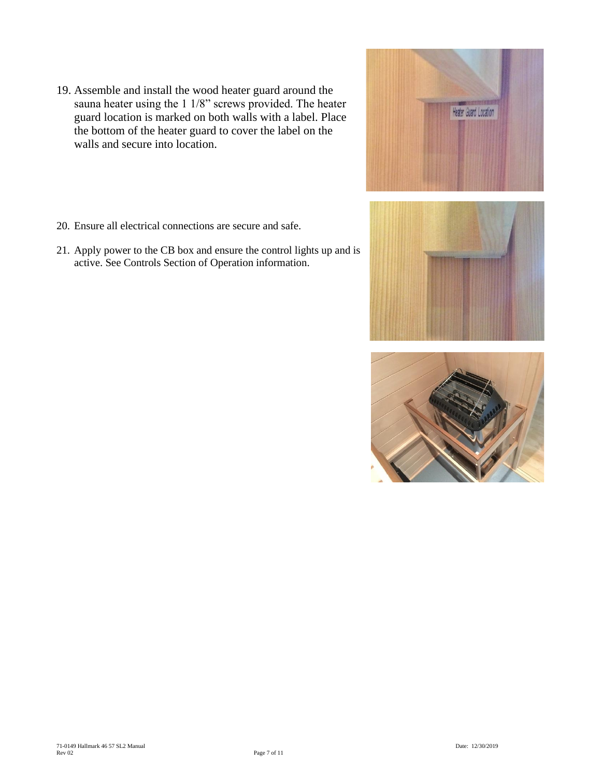- 19. Assemble and install the wood heater guard around the sauna heater using the 1 1/8" screws provided. The heater guard location is marked on both walls with a label. Place the bottom of the heater guard to cover the label on the walls and secure into location.
- 20. Ensure all electrical connections are secure and safe.
- 21. Apply power to the CB box and ensure the control lights up and is active. See Controls Section of Operation information.



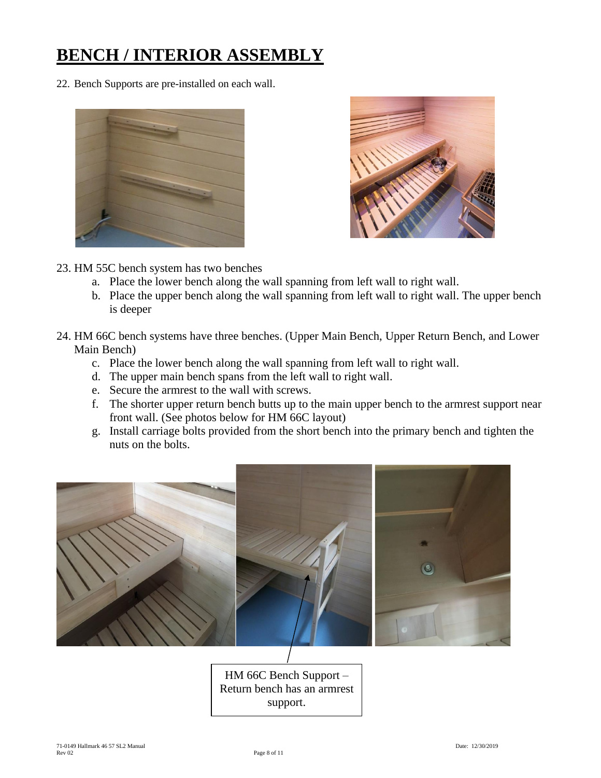## **BENCH / INTERIOR ASSEMBLY**

22. Bench Supports are pre-installed on each wall.





- 23. HM 55C bench system has two benches
	- a. Place the lower bench along the wall spanning from left wall to right wall.
	- b. Place the upper bench along the wall spanning from left wall to right wall. The upper bench is deeper
- 24. HM 66C bench systems have three benches. (Upper Main Bench, Upper Return Bench, and Lower Main Bench)
	- c. Place the lower bench along the wall spanning from left wall to right wall.
	- d. The upper main bench spans from the left wall to right wall.
	- e. Secure the armrest to the wall with screws.
	- f. The shorter upper return bench butts up to the main upper bench to the armrest support near front wall. (See photos below for HM 66C layout)
	- g. Install carriage bolts provided from the short bench into the primary bench and tighten the nuts on the bolts.



HM 66C Bench Support – Return bench has an armrest support.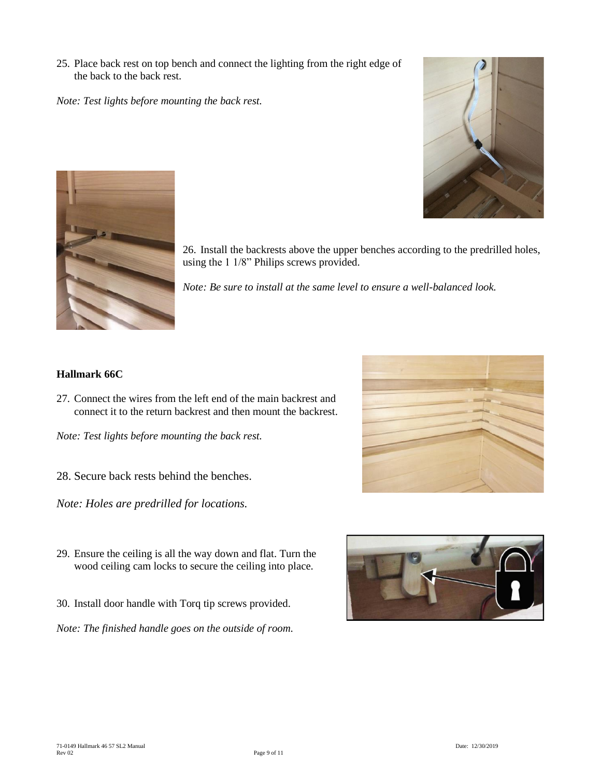25. Place back rest on top bench and connect the lighting from the right edge of the back to the back rest.

*Note: Test lights before mounting the back rest.*





26. Install the backrests above the upper benches according to the predrilled holes, using the 1 1/8" Philips screws provided.

*Note: Be sure to install at the same level to ensure a well-balanced look.*

#### **Hallmark 66C**

27. Connect the wires from the left end of the main backrest and connect it to the return backrest and then mount the backrest.

*Note: Test lights before mounting the back rest.*

28. Secure back rests behind the benches.

*Note: Holes are predrilled for locations.*

- 29. Ensure the ceiling is all the way down and flat. Turn the wood ceiling cam locks to secure the ceiling into place.
- 30. Install door handle with Torq tip screws provided.

*Note: The finished handle goes on the outside of room.*



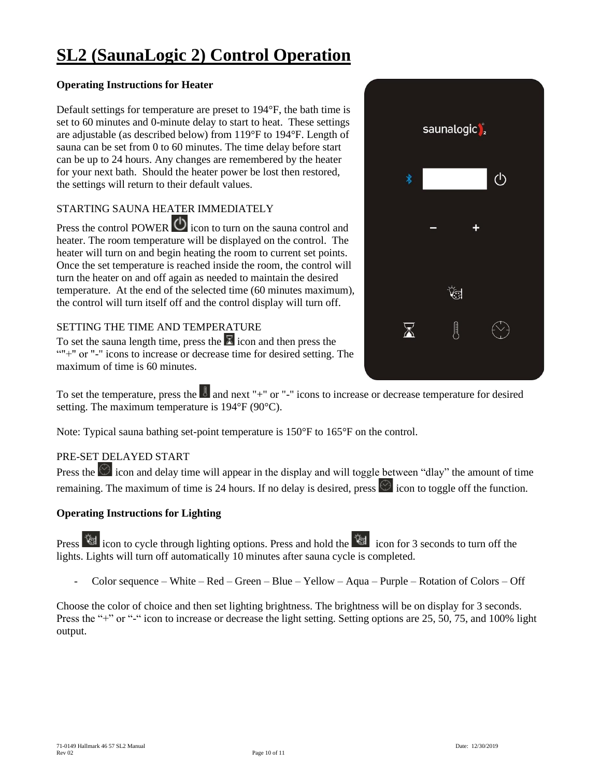## **SL2 (SaunaLogic 2) Control Operation**

#### **Operating Instructions for Heater**

Default settings for temperature are preset to 194°F, the bath time is set to 60 minutes and 0-minute delay to start to heat. These settings are adjustable (as described below) from 119°F to 194°F. Length of sauna can be set from 0 to 60 minutes. The time delay before start can be up to 24 hours. Any changes are remembered by the heater for your next bath. Should the heater power be lost then restored, the settings will return to their default values.

#### STARTING SAUNA HEATER IMMEDIATELY

Press the control POWER  $\bigcirc$  icon to turn on the sauna control and heater. The room temperature will be displayed on the control. The heater will turn on and begin heating the room to current set points. Once the set temperature is reached inside the room, the control will turn the heater on and off again as needed to maintain the desired temperature. At the end of the selected time (60 minutes maximum), the control will turn itself off and the control display will turn off.

#### SETTING THE TIME AND TEMPERATURE

To set the sauna length time, press the  $\overline{K}$  icon and then press the ""+" or "-" icons to increase or decrease time for desired setting. The maximum of time is 60 minutes.

To set the temperature, press the  $\blacksquare$  and next "+" or "-" icons to increase or decrease temperature for desired setting. The maximum temperature is 194°F (90°C).

Note: Typical sauna bathing set-point temperature is 150°F to 165°F on the control.

#### PRE-SET DELAYED START

Press the  $\circledcirc$  icon and delay time will appear in the display and will toggle between "dlay" the amount of time remaining. The maximum of time is 24 hours. If no delay is desired, press  $\circledcirc$  icon to toggle off the function.

#### **Operating Instructions for Lighting**

**Press ighthrough lighting options. Press and hold the icon for 3 seconds to turn off the** lights. Lights will turn off automatically 10 minutes after sauna cycle is completed.

- Color sequence – White – Red – Green – Blue – Yellow – Aqua – Purple – Rotation of Colors – Off

Choose the color of choice and then set lighting brightness. The brightness will be on display for 3 seconds. Press the "+" or "-" icon to increase or decrease the light setting. Setting options are 25, 50, 75, and 100% light output.